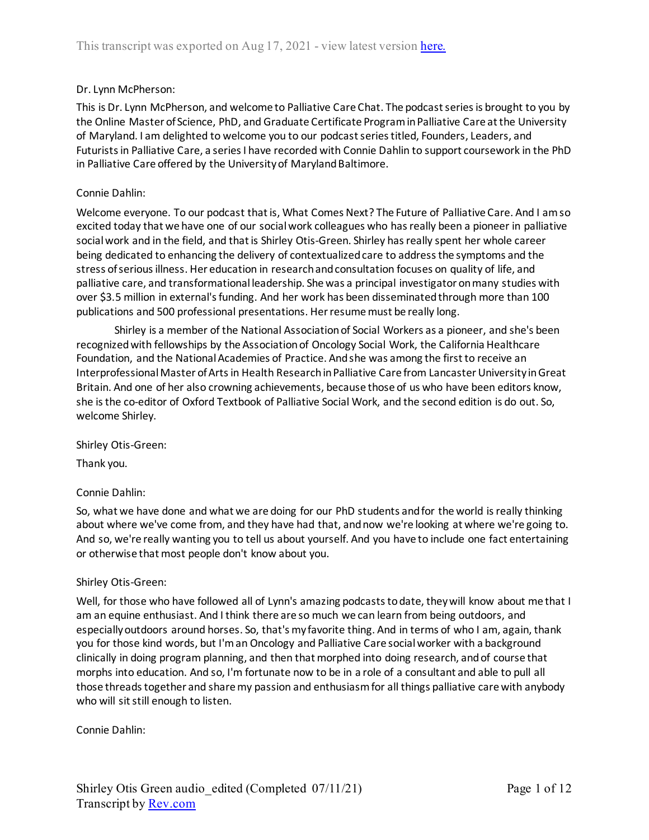## Dr. Lynn McPherson:

This is Dr. Lynn McPherson, and welcome to Palliative Care Chat. The podcast series is brought to you by the Online Master of Science, PhD, and Graduate Certificate Program in Palliative Care at the University of Maryland. I am delighted to welcome you to our podcast series titled, Founders, Leaders, and Futurists in Palliative Care, a series I have recorded with Connie Dahlin to support coursework in the PhD in Palliative Care offered by the University of Maryland Baltimore.

## Connie Dahlin:

Welcome everyone. To our podcast that is, What Comes Next? The Future of Palliative Care. And I am so excited today that we have one of our social work colleagues who has really been a pioneer in palliative social work and in the field, and that is Shirley Otis-Green. Shirley has really spent her whole career being dedicated to enhancing the delivery of contextualized care to address the symptoms and the stress of serious illness. Her education in research and consultation focuses on quality of life, and palliative care, and transformational leadership. She was a principal investigator on many studies with over \$3.5 million in external's funding. And her work has been disseminated through more than 100 publications and 500 professional presentations. Her resume must be really long.

Shirley is a member of the National Association of Social Workers as a pioneer, and she's been recognized with fellowships by the Association of Oncology Social Work, the California Healthcare Foundation, and the National Academies of Practice. And she was among the first to receive an Interprofessional Master of Arts in Health Researchin Palliative Care from Lancaster University in Great Britain. And one of her also crowning achievements, because those of us who have been editors know, she is the co-editor of Oxford Textbook of Palliative Social Work, and the second edition is do out. So, welcome Shirley.

Shirley Otis-Green:

Thank you.

## Connie Dahlin:

So, what we have done and what we are doing for our PhD students and for the world is really thinking about where we've come from, and they have had that, and now we're looking at where we're going to. And so, we're really wanting you to tell us about yourself. And you have to include one fact entertaining or otherwise that most people don't know about you.

## Shirley Otis-Green:

Well, for those who have followed all of Lynn's amazing podcasts to date, they will know about me that I am an equine enthusiast. And I think there are so much we can learn from being outdoors, and especially outdoors around horses. So, that's my favorite thing. And in terms of who I am, again, thank you for those kind words, but I'm an Oncology and Palliative Care social worker with a background clinically in doing program planning, and then that morphed into doing research, and of course that morphs into education. And so, I'm fortunate now to be in a role of a consultant and able to pull all those threads together and share my passion and enthusiasm for all things palliative care with anybody who will sit still enough to listen.

Connie Dahlin: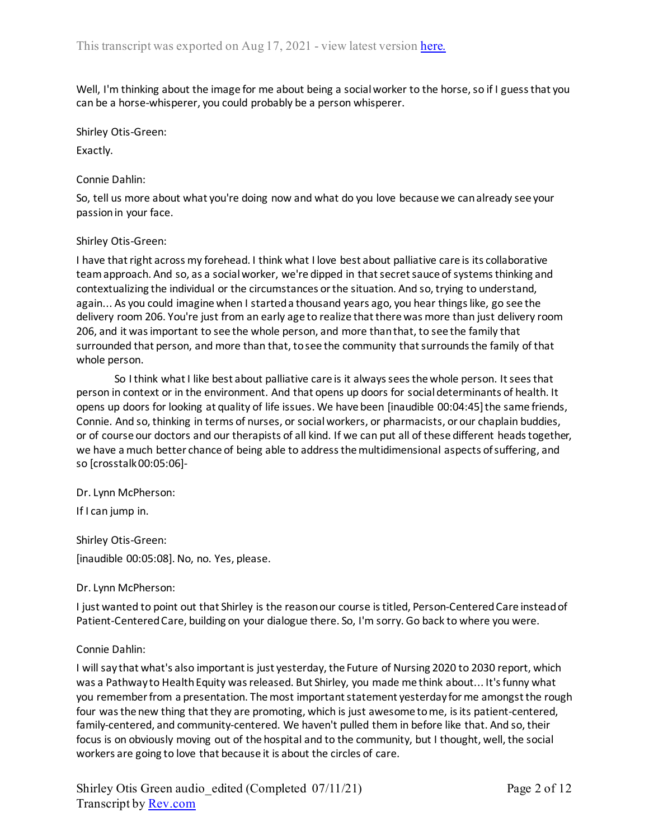Well, I'm thinking about the image for me about being a social worker to the horse, so if I guess that you can be a horse-whisperer, you could probably be a person whisperer.

Shirley Otis-Green:

Exactly.

## Connie Dahlin:

So, tell us more about what you're doing now and what do you love because we can already see your passion in your face.

## Shirley Otis-Green:

I have that right across my forehead. I think what I love best about palliative care is its collaborative team approach. And so, as a social worker, we're dipped in that secret sauce of systems thinking and contextualizing the individual or the circumstances or the situation. And so, trying to understand, again... As you could imagine when I started a thousand years ago, you hear things like, go see the delivery room 206. You're just from an early age to realize that there was more than just delivery room 206, and it wasimportant to see the whole person, and more than that, to see the family that surrounded that person, and more than that, to see the community that surrounds the family of that whole person.

So I think what I like best about palliative care is it always sees the whole person. It sees that person in context or in the environment. And that opens up doors for social determinants of health. It opens up doors for looking at quality of life issues. We have been [inaudible 00:04:45] the same friends, Connie. And so, thinking in terms of nurses, or social workers, or pharmacists, or our chaplain buddies, or of course our doctors and our therapists of all kind. If we can put all of these different heads together, we have a much better chance of being able to address the multidimensional aspects of suffering, and so [crosstalk 00:05:06]-

Dr. Lynn McPherson:

If I can jump in.

Shirley Otis-Green: [inaudible 00:05:08]. No, no. Yes, please.

## Dr. Lynn McPherson:

I just wanted to point out that Shirley is the reason our course is titled, Person-Centered Care instead of Patient-Centered Care, building on your dialogue there. So, I'm sorry. Go back to where you were.

## Connie Dahlin:

I will say that what's also important is just yesterday, the Future of Nursing 2020 to 2030 report, which was a Pathway to Health Equity was released. But Shirley, you made me think about... It's funny what you remember from a presentation. The most important statement yesterday for me amongst the rough four was the new thing that they are promoting, which is just awesome to me, is its patient-centered, family-centered, and community-centered. We haven't pulled them in before like that. And so, their focus is on obviously moving out of the hospital and to the community, but I thought, well, the social workers are going to love that because it is about the circles of care.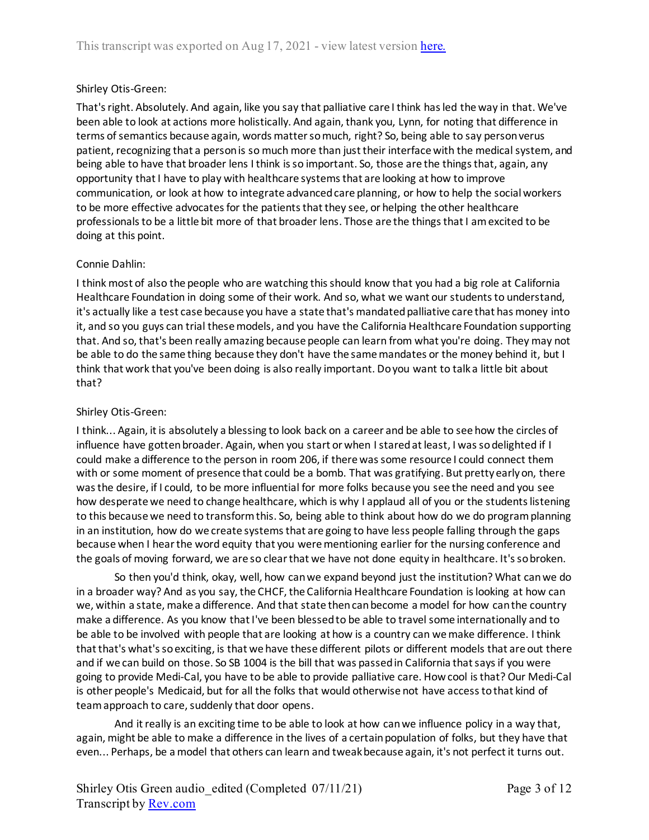# Shirley Otis-Green:

That's right. Absolutely. And again, like you say that palliative care I think has led the way in that. We've been able to look at actions more holistically. And again, thank you, Lynn, for noting that difference in terms of semantics because again, words matter so much, right? So, being able to say person verus patient, recognizing that a person is so much more than just their interface with the medical system, and being able to have that broader lens I think is so important. So, those are the things that, again, any opportunity that I have to play with healthcare systems that are looking at how to improve communication, or look at how to integrate advanced care planning, or how to help the social workers to be more effective advocates for the patients that they see, or helping the other healthcare professionals to be a little bit more of that broader lens. Those are the things that I am excited to be doing at this point.

# Connie Dahlin:

I think most of also the people who are watching this should know that you had a big role at California Healthcare Foundation in doing some of their work. And so, what we want our students to understand, it's actually like a test case because you have a state that's mandated palliative care that has money into it, and so you guys can trial these models, and you have the California Healthcare Foundation supporting that. And so, that's been really amazing because people can learn from what you're doing. They may not be able to do the same thing because they don't have the same mandates or the money behind it, but I think that work that you've been doing is also really important. Do you want to talk a little bit about that?

# Shirley Otis-Green:

I think... Again, it is absolutely a blessing to look back on a career and be able to see how the circles of influence have gotten broader. Again, when you start or when I stared at least, I was so delighted if I could make a difference to the person in room 206, if there was some resource I could connect them with or some moment of presence that could be a bomb. That was gratifying. But pretty early on, there was the desire, if I could, to be more influential for more folks because you see the need and you see how desperate we need to change healthcare, which is why I applaud all of you or the students listening to this because we need to transform this. So, being able to think about how do we do program planning in an institution, how do we create systems that are going to have less people falling through the gaps because when I hear the word equity that you were mentioning earlier for the nursing conference and the goals of moving forward, we are so clear that we have not done equity in healthcare. It's so broken.

So then you'd think, okay, well, how can we expand beyond just the institution? What can we do in a broader way? And as you say, the CHCF, the California Healthcare Foundation is looking at how can we, within a state, make a difference. And that state then can become a model for how can the country make a difference. As you know that I've been blessed to be able to travel some internationally and to be able to be involved with people that are looking at how is a country can we make difference. I think that that's what's so exciting, is that we have these different pilots or different models that are out there and if we can build on those. So SB 1004 is the bill that was passed in California that says if you were going to provide Medi-Cal, you have to be able to provide palliative care. How cool is that? Our Medi-Cal is other people's Medicaid, but for all the folks that would otherwise not have access to that kind of team approach to care, suddenly that door opens.

And it really is an exciting time to be able to look at how can we influence policy in a way that, again, might be able to make a difference in the lives of a certain population of folks, but they have that even... Perhaps, be a model that others can learn and tweak because again, it's not perfect it turns out.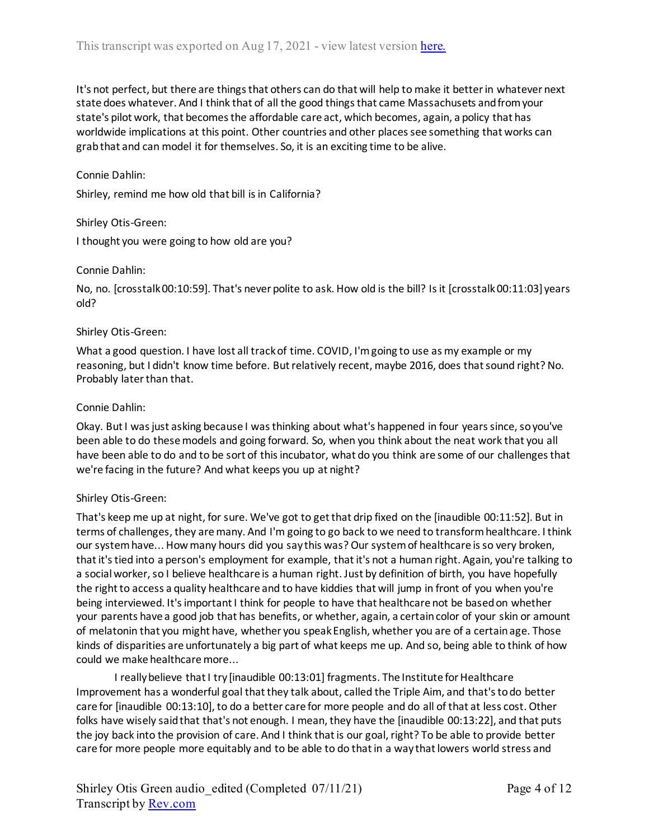It's not perfect, but there are things that others can do that will help to make it better in whatever next state does whatever. And I think that of all the good things that came Massachusets and from your state's pilot work, that becomes the affordable care act, which becomes, again, a policy that has worldwide implications at this point. Other countries and other places see something that works can grab that and can model it for themselves. So, it is an exciting time to be alive.

#### Connie Dahlin:

Shirley, remind me how old that bill is in California?

#### Shirley Otis-Green:

I thought you were going to how old are you?

#### Connie Dahlin:

No, no. [crosstalk 00:10:59]. That's never polite to ask. How old is the bill? Is it [crosstalk 00:11:03] years old?

#### Shirley Otis-Green:

What a good question. I have lost all track of time. COVID, I'm going to use as my example or my reasoning, but I didn't know time before. But relatively recent, maybe 2016, does that sound right? No. Probably later than that.

#### Connie Dahlin:

Okay. But I was just asking because I was thinking about what's happened in four years since, so you've been able to do these models and going forward. So, when you think about the neat work that you all have been able to do and to be sort of this incubator, what do you think are some of our challenges that we're facing in the future? And what keeps you up at night?

## Shirley Otis-Green:

That's keep me up at night, for sure. We've got to get that drip fixed on the [inaudible 00:11:52]. But in terms of challenges, they are many. And I'm going to go back to we need to transform healthcare. I think our system have... How many hours did you say this was? Our system of healthcare isso very broken, that it's tied into a person's employment for example, that it's not a human right. Again, you're talking to a social worker, so I believe healthcare is a human right. Just by definition of birth, you have hopefully the right to access a quality healthcare and to have kiddies that will jump in front of you when you're being interviewed. It's important I think for people to have that healthcare not be based on whether your parents have a good job that has benefits, or whether, again, a certain color of your skin or amount of melatonin that you might have, whether you speak English, whether you are of a certain age. Those kinds of disparities are unfortunately a big part of what keeps me up. And so, being able to think of how could we make healthcare more...

I really believe that I try [inaudible 00:13:01] fragments. The Institute for Healthcare Improvement has a wonderful goal that they talk about, called the Triple Aim, and that's to do better care for [inaudible 00:13:10], to do a better care for more people and do all of that at less cost. Other folks have wisely said that that's not enough. I mean, they have the [inaudible 00:13:22], and that puts the joy back into the provision of care. And I think that is our goal, right? To be able to provide better care for more people more equitably and to be able to do that in a way that lowers world stress and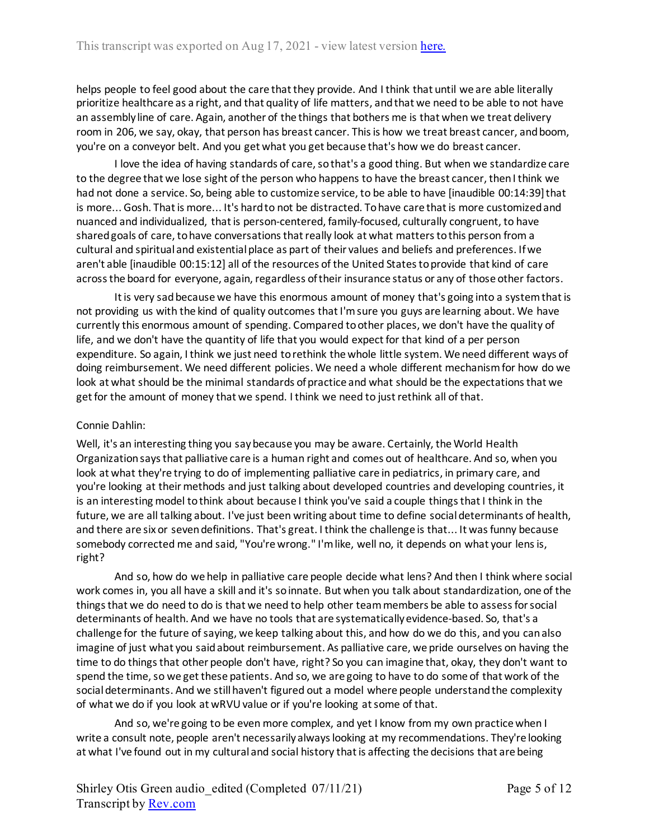helps people to feel good about the care that they provide. And I think that until we are able literally prioritize healthcare as a right, and that quality of life matters, and that we need to be able to not have an assembly line of care. Again, another of the things that bothers me is that when we treat delivery room in 206, we say, okay, that person has breast cancer. This is how we treat breast cancer, and boom, you're on a conveyor belt. And you get what you get because that's how we do breast cancer.

I love the idea of having standards of care, so that's a good thing. But when we standardize care to the degree that we lose sight of the person who happens to have the breast cancer, then I think we had not done a service. So, being able to customize service, to be able to have [inaudible 00:14:39] that is more... Gosh. That is more... It's hard to not be distracted. To have care that is more customized and nuanced and individualized, that is person-centered, family-focused, culturally congruent, to have shared goals of care, to have conversations that really look at what matters to this person from a cultural and spiritual and existential place as part of their values and beliefs and preferences. If we aren't able [inaudible 00:15:12] all of the resources of the United States to provide that kind of care across the board for everyone, again, regardless of their insurance status or any of those other factors.

It is very sad because we have this enormous amount of money that's going into a system that is not providing us with the kind of quality outcomes that I'm sure you guys are learning about. We have currently this enormous amount of spending. Compared to other places, we don't have the quality of life, and we don't have the quantity of life that you would expect for that kind of a per person expenditure. So again, I think we just need to rethink the whole little system. We need different ways of doing reimbursement. We need different policies. We need a whole different mechanism for how do we look at what should be the minimal standards of practice and what should be the expectations that we get for the amount of money that we spend. I think we need to just rethink all of that.

# Connie Dahlin:

Well, it's an interesting thing you say because you may be aware. Certainly, the World Health Organization says that palliative care is a human right and comes out of healthcare. And so, when you look at what they're trying to do of implementing palliative care in pediatrics, in primary care, and you're looking at their methods and just talking about developed countries and developing countries, it is an interesting model to think about because I think you've said a couple things that I think in the future, we are all talking about. I've just been writing about time to define social determinants of health, and there are six or seven definitions. That's great. I think the challenge is that... It was funny because somebody corrected me and said, "You're wrong." I'm like, well no, it depends on what your lens is, right?

And so, how do we help in palliative care people decide what lens? And then I think where social work comes in, you all have a skill and it's so innate. But when you talk about standardization, one of the things that we do need to do is that we need to help other team members be able to assess for social determinants of health. And we have no tools that are systematically evidence-based. So, that's a challenge for the future of saying, we keep talking about this, and how do we do this, and you can also imagine of just what you said about reimbursement. As palliative care, we pride ourselves on having the time to do things that other people don't have, right? So you can imagine that, okay, they don't want to spend the time, so we get these patients. And so, we are going to have to do some of that work of the social determinants. And we still haven't figured out a model where people understand the complexity of what we do if you look at wRVU value or if you're looking at some of that.

And so, we're going to be even more complex, and yet I know from my own practice when I write a consult note, people aren't necessarily always looking at my recommendations. They're looking at what I've found out in my cultural and social history that is affecting the decisions that are being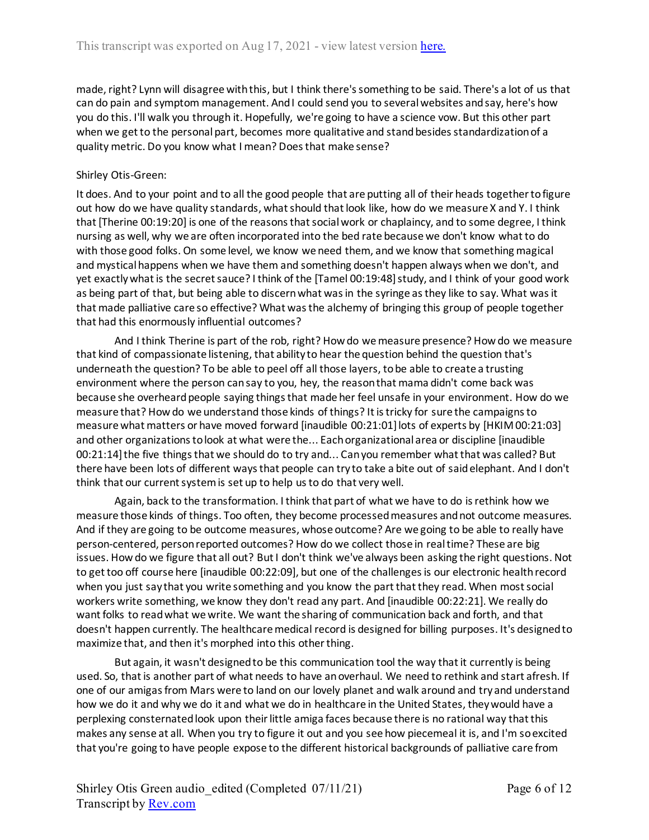made, right? Lynn will disagree with this, but I think there's something to be said. There's a lot of us that can do pain and symptom management. And I could send you to several websites and say, here's how you do this. I'll walk you through it. Hopefully, we're going to have a science vow. But this other part when we get to the personal part, becomes more qualitative and stand besides standardization of a quality metric. Do you know what I mean? Does that make sense?

# Shirley Otis-Green:

It does. And to your point and to all the good people that are putting all of their heads together to figure out how do we have quality standards, what should that look like, how do we measure X and Y. I think that [Therine 00:19:20] is one of the reasons that social work or chaplaincy, and to some degree, I think nursing as well, why we are often incorporated into the bed rate because we don't know what to do with those good folks. On some level, we know we need them, and we know that something magical and mystical happens when we have them and something doesn't happen always when we don't, and yet exactly what is the secret sauce? I think of the [Tamel 00:19:48] study, and I think of your good work as being part of that, but being able to discern what was in the syringe as they like to say. What was it that made palliative care so effective? What was the alchemy of bringing this group of people together that had this enormously influential outcomes?

And I think Therine is part of the rob, right? How do we measure presence? How do we measure that kind of compassionate listening, that ability to hear the question behind the question that's underneath the question? To be able to peel off all those layers, to be able to create a trusting environment where the person can say to you, hey, the reason that mama didn't come back was because she overheard people saying things that made her feel unsafe in your environment. How do we measure that? How do we understand those kinds of things? It is tricky for sure the campaigns to measure what matters or have moved forward [inaudible 00:21:01] lots of experts by [HKIM 00:21:03] and other organizations to look at what were the... Each organizational area or discipline [inaudible 00:21:14] the five things that we should do to try and... Can you remember what that was called? But there have been lots of different ways that people can try to take a bite out of said elephant. And I don't think that our current system is set up to help us to do that very well.

Again, back to the transformation. I think that part of what we have to do is rethink how we measure those kinds of things. Too often, they become processed measures and not outcome measures. And if they are going to be outcome measures, whose outcome? Are we going to be able to really have person-centered, person reported outcomes? How do we collect those in real time? These are big issues. How do we figure that all out? But I don't think we've always been asking the right questions. Not to get too off course here [inaudible 00:22:09], but one of the challenges is our electronic health record when you just say that you write something and you know the part that they read. When most social workers write something, we know they don't read any part. And [inaudible 00:22:21]. We really do want folks to read what we write. We want the sharing of communication back and forth, and that doesn't happen currently. The healthcare medical record is designed for billing purposes. It's designed to maximize that, and then it's morphed into this other thing.

But again, it wasn't designed to be this communication tool the way that it currently is being used. So, that is another part of what needs to have an overhaul. We need to rethink and start afresh. If one of our amigas from Mars were to land on our lovely planet and walk around and try and understand how we do it and why we do it and what we do in healthcare in the United States, they would have a perplexing consternated look upon their little amiga faces because there is no rational way that this makes any sense at all. When you try to figure it out and you see how piecemeal it is, and I'm so excited that you're going to have people expose to the different historical backgrounds of palliative care from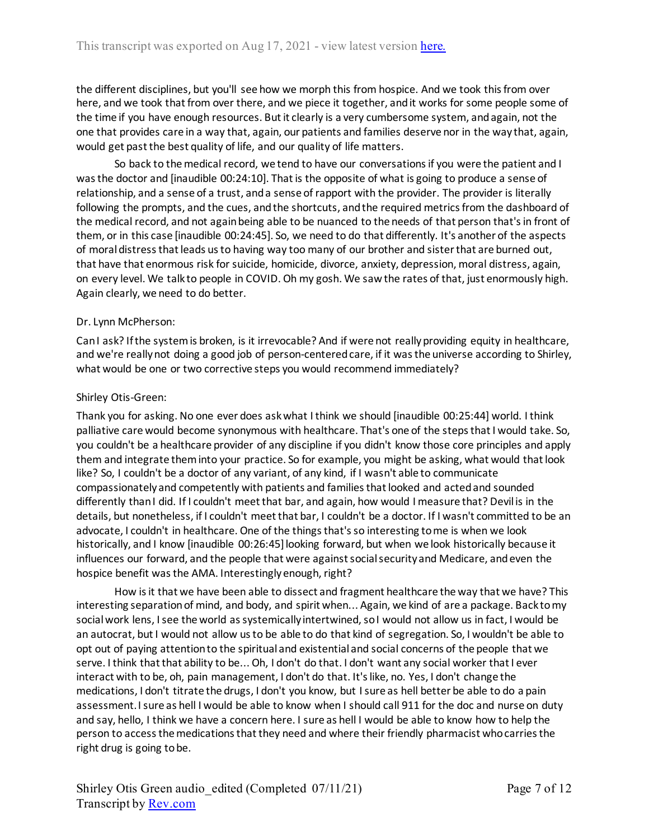the different disciplines, but you'll see how we morph this from hospice. And we took this from over here, and we took that from over there, and we piece it together, and it works for some people some of the time if you have enough resources. But it clearly is a very cumbersome system, and again, not the one that provides care in a way that, again, our patients and families deserve nor in the way that, again, would get past the best quality of life, and our quality of life matters.

So back to the medical record, we tend to have our conversations if you were the patient and I was the doctor and [inaudible 00:24:10]. That is the opposite of what is going to produce a sense of relationship, and a sense of a trust, and a sense of rapport with the provider. The provider is literally following the prompts, and the cues, and the shortcuts, and the required metrics from the dashboard of the medical record, and not again being able to be nuanced to the needs of that person that's in front of them, or in this case [inaudible 00:24:45]. So, we need to do that differently. It's another of the aspects of moral distress that leads us to having way too many of our brother and sister that are burned out, that have that enormous risk for suicide, homicide, divorce, anxiety, depression, moral distress, again, on every level. We talk to people in COVID. Oh my gosh. We saw the rates of that, just enormously high. Again clearly, we need to do better.

## Dr. Lynn McPherson:

Can I ask? If the system is broken, is it irrevocable? And if were not really providing equity in healthcare, and we're really not doing a good job of person-centered care, if it was the universe according to Shirley, what would be one or two corrective steps you would recommend immediately?

## Shirley Otis-Green:

Thank you for asking. No one ever does ask what I think we should [inaudible 00:25:44] world. I think palliative care would become synonymous with healthcare. That's one of the steps that I would take. So, you couldn't be a healthcare provider of any discipline if you didn't know those core principles and apply them and integrate them into your practice. So for example, you might be asking, what would that look like? So, I couldn't be a doctor of any variant, of any kind, if I wasn't able to communicate compassionately and competently with patients and families that looked and acted and sounded differently than I did. If I couldn't meet that bar, and again, how would I measure that? Devil is in the details, but nonetheless, if I couldn't meet that bar, I couldn't be a doctor. If I wasn't committed to be an advocate, I couldn't in healthcare. One of the things that's so interesting to me is when we look historically, and I know [inaudible 00:26:45] looking forward, but when we look historically because it influences our forward, and the people that were against social security and Medicare, and even the hospice benefit was the AMA. Interestingly enough, right?

How is it that we have been able to dissect and fragment healthcare the way that we have? This interesting separation of mind, and body, and spirit when... Again, we kind of are a package. Back to my social work lens, I see the world as systemically intertwined, so I would not allow us in fact, I would be an autocrat, but I would not allow us to be able to do that kind of segregation. So, I wouldn't be able to opt out of paying attention to the spiritual and existential and social concerns of the people that we serve. I think that that ability to be... Oh, I don't do that. I don't want any social worker that I ever interact with to be, oh, pain management, I don't do that. It's like, no. Yes, I don't change the medications, I don't titrate the drugs, I don't you know, but I sure as hell better be able to do a pain assessment. I sure as hell I would be able to know when I should call 911 for the doc and nurse on duty and say, hello, I think we have a concern here. I sure as hell I would be able to know how to help the person to access the medications that they need and where their friendly pharmacist who carries the right drug is going to be.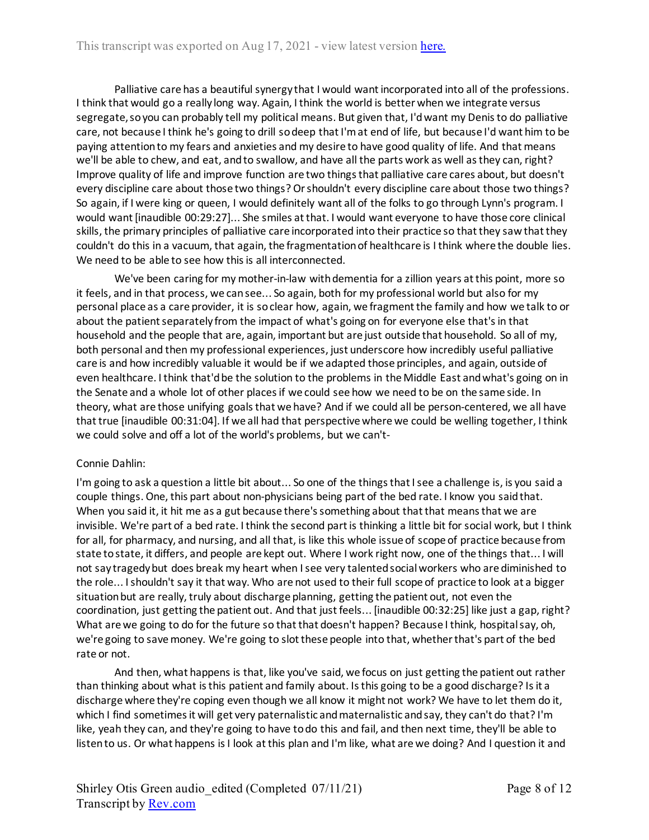Palliative care has a beautiful synergy that I would want incorporated into all of the professions. I think that would go a really long way. Again, I think the world is better when we integrate versus segregate, so you can probably tell my political means. But given that, I'd want my Denis to do palliative care, not because I think he's going to drill so deep that I'm at end of life, but because I'd want him to be paying attention to my fears and anxieties and my desire to have good quality of life. And that means we'll be able to chew, and eat, and to swallow, and have all the parts work as well as they can, right? Improve quality of life and improve function are two things that palliative care cares about, but doesn't every discipline care about those two things? Or shouldn't every discipline care about those two things? So again, if I were king or queen, I would definitely want all of the folks to go through Lynn's program. I would want [inaudible 00:29:27]... She smiles at that. I would want everyone to have those core clinical skills, the primary principles of palliative care incorporated into their practice so that they saw that they couldn't do this in a vacuum, that again, the fragmentation of healthcare is I think where the double lies. We need to be able to see how this is all interconnected.

We've been caring for my mother-in-law with dementia for a zillion years at this point, more so it feels, and in that process, we can see... So again, both for my professional world but also for my personal place as a care provider, it is so clear how, again, we fragment the family and how we talk to or about the patient separately from the impact of what's going on for everyone else that's in that household and the people that are, again, important but are just outside that household. So all of my, both personal and then my professional experiences, just underscore how incredibly useful palliative care is and how incredibly valuable it would be if we adapted those principles, and again, outside of even healthcare. I think that'd be the solution to the problems in the Middle East and what's going on in the Senate and a whole lot of other places if we could see how we need to be on the same side. In theory, what are those unifying goals that we have? And if we could all be person-centered, we all have that true [inaudible 00:31:04]. If we all had that perspective where we could be welling together, I think we could solve and off a lot of the world's problems, but we can't-

# Connie Dahlin:

I'm going to ask a question a little bit about... So one of the things that I see a challenge is, is you said a couple things. One, this part about non-physicians being part of the bed rate. I know you said that. When you said it, it hit me as a gut because there's something about that that means that we are invisible. We're part of a bed rate. I think the second part is thinking a little bit for social work, but I think for all, for pharmacy, and nursing, and all that, is like this whole issue of scope of practice because from state to state, it differs, and people are kept out. Where I work right now, one of the things that... I will not say tragedy but does break my heart when I see very talented social workers who are diminished to the role... I shouldn't say it that way. Who are not used to their full scope of practice to look at a bigger situation but are really, truly about discharge planning, getting the patient out, not even the coordination, just getting the patient out. And that just feels... [inaudible 00:32:25] like just a gap, right? What are we going to do for the future so that that doesn't happen? Because I think, hospital say, oh, we're going to save money. We're going to slot these people into that, whether that's part of the bed rate or not.

And then, what happens is that, like you've said, we focus on just getting the patient out rather than thinking about what is this patient and family about. Is this going to be a good discharge? Is it a discharge where they're coping even though we all know it might not work? We have to let them do it, which I find sometimes it will get very paternalistic and maternalistic and say, they can't do that? I'm like, yeah they can, and they're going to have to do this and fail, and then next time, they'll be able to listen to us. Or what happens is I look at this plan and I'm like, what are we doing? And I question it and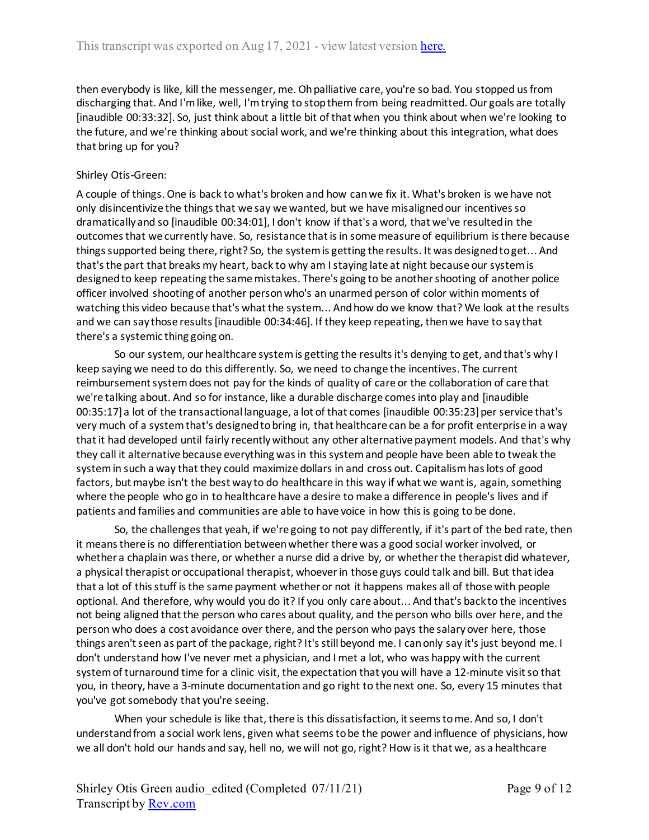then everybody is like, kill the messenger, me. Oh palliative care, you're so bad. You stopped us from discharging that. And I'm like, well, I'm trying to stop them from being readmitted. Our goals are totally [inaudible 00:33:32]. So, just think about a little bit of that when you think about when we're looking to the future, and we're thinking about social work, and we're thinking about this integration, what does that bring up for you?

# Shirley Otis-Green:

A couple of things. One is back to what's broken and how can we fix it. What's broken is we have not only disincentivize the things that we say we wanted, but we have misaligned our incentives so dramatically and so [inaudible 00:34:01], I don't know if that's a word, that we've resulted in the outcomes that we currently have. So, resistance that is in some measure of equilibrium is there because things supported being there, right? So, the system is getting the results. It was designed to get... And that's the part that breaks my heart, back to why am I staying late at night because our system is designed to keep repeating the same mistakes. There's going to be another shooting of another police officer involved shooting of another person who's an unarmed person of color within moments of watching this video because that's what the system... And how do we know that? We look at the results and we can say those results [inaudible 00:34:46]. If they keep repeating, then we have to say that there's a systemic thing going on.

So our system, our healthcare system is getting the results it's denying to get, and that's why I keep saying we need to do this differently. So, we need to change the incentives. The current reimbursement system does not pay for the kinds of quality of care or the collaboration of care that we're talking about. And so for instance, like a durable discharge comes into play and [inaudible 00:35:17] a lot of the transactional language, a lot of that comes [inaudible 00:35:23] per service that's very much of a system that's designed to bring in, that healthcare can be a for profit enterprise in a way that it had developed until fairly recently without any other alternative payment models. And that's why they call it alternative because everything was in this system and people have been able to tweak the system in such a way that they could maximize dollars in and cross out. Capitalism has lots of good factors, but maybe isn't the best way to do healthcare in this way if what we want is, again, something where the people who go in to healthcare have a desire to make a difference in people's lives and if patients and families and communities are able to have voice in how this is going to be done.

So, the challenges that yeah, if we're going to not pay differently, if it's part of the bed rate, then it means there is no differentiation between whether there was a good social worker involved, or whether a chaplain was there, or whether a nurse did a drive by, or whetherthe therapist did whatever, a physical therapist or occupational therapist, whoever in those guys could talk and bill. But that idea that a lot of this stuff is the same payment whether or not it happens makes all of those with people optional. And therefore, why would you do it? If you only care about... And that's back to the incentives not being aligned that the person who cares about quality, and the person who bills over here, and the person who does a cost avoidance over there, and the person who pays the salary over here, those things aren't seen as part of the package, right? It's still beyond me. I can only say it's just beyond me. I don't understand how I've never met a physician, and I met a lot, who was happy with the current system of turnaround time for a clinic visit, the expectation that you will have a 12-minute visit so that you, in theory, have a 3-minute documentation and go right to the next one. So, every 15 minutes that you've got somebody that you're seeing.

When your schedule is like that, there is this dissatisfaction, it seems to me. And so, I don't understand from a social work lens, given what seems to be the power and influence of physicians, how we all don't hold our hands and say, hell no, we will not go, right? How is it that we, as a healthcare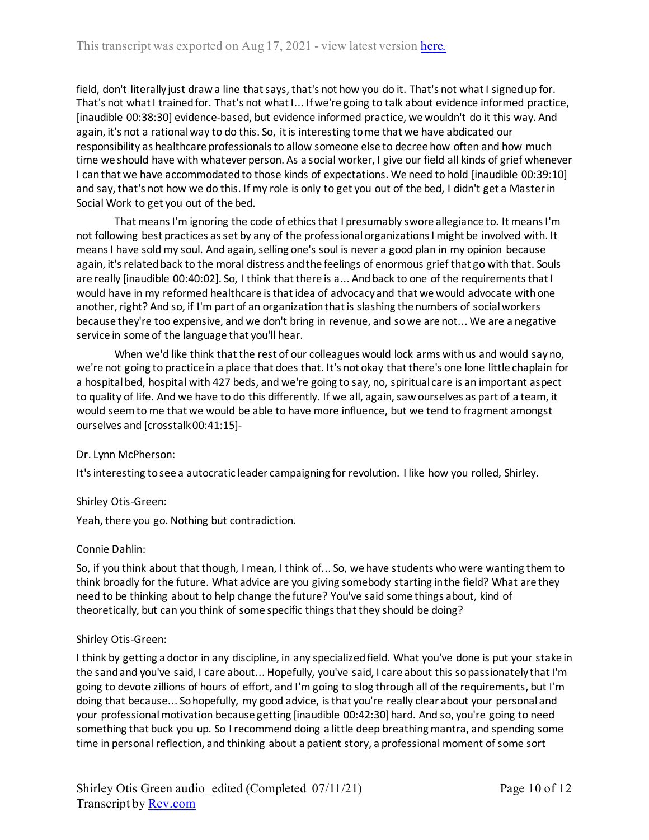field, don't literally just draw a line that says, that's not how you do it. That's not what I signed up for. That's not what I trained for. That's not what I... If we're going to talk about evidence informed practice, [inaudible 00:38:30] evidence-based, but evidence informed practice, we wouldn't do it this way. And again, it's not a rational way to do this. So, it is interesting to me that we have abdicated our responsibility as healthcare professionals to allow someone else to decree how often and how much time we should have with whatever person. As a social worker, I give our field all kinds of grief whenever I can that we have accommodated to those kinds of expectations. We need to hold [inaudible 00:39:10] and say, that's not how we do this. If my role is only to get you out of the bed, I didn't get a Master in Social Work to get you out of the bed.

That means I'm ignoring the code of ethics that I presumably swore allegiance to. It means I'm not following best practices as set by any of the professional organizations I might be involved with. It means I have sold my soul. And again, selling one's soul is never a good plan in my opinion because again, it's related back to the moral distress and the feelings of enormous grief that go with that. Souls are really [inaudible 00:40:02]. So, I think that there is a... And back to one of the requirements that I would have in my reformed healthcare is that idea of advocacy and that we would advocate with one another, right? And so, if I'm part of an organization that is slashing the numbers of social workers because they're too expensive, and we don't bring in revenue, and so we are not... We are a negative service in some of the language that you'll hear.

When we'd like think that the rest of our colleagues would lock arms with us and would say no, we're not going to practice in a place that does that. It's not okay that there's one lone little chaplain for a hospital bed, hospital with 427 beds, and we're going to say, no, spiritual care is an important aspect to quality of life. And we have to do this differently. If we all, again, saw ourselves as part of a team, it would seem to me that we would be able to have more influence, but we tend to fragment amongst ourselves and [crosstalk 00:41:15]-

## Dr. Lynn McPherson:

It's interesting to see a autocratic leader campaigning for revolution. I like how you rolled, Shirley.

## Shirley Otis-Green:

Yeah, there you go. Nothing but contradiction.

## Connie Dahlin:

So, if you think about that though, I mean, I think of... So, we have students who were wanting them to think broadly for the future. What advice are you giving somebody starting in the field? What are they need to be thinking about to help change the future? You've said some things about, kind of theoretically, but can you think of some specific things that they should be doing?

## Shirley Otis-Green:

I think by getting a doctor in any discipline, in any specialized field. What you've done is put your stake in the sand and you've said, I care about... Hopefully, you've said, I care about this so passionately that I'm going to devote zillions of hours of effort, and I'm going to slog through all of the requirements, but I'm doing that because... So hopefully, my good advice, is that you're really clear about your personal and your professional motivation because getting [inaudible 00:42:30] hard. And so, you're going to need something that buck you up. So I recommend doing a little deep breathing mantra, and spending some time in personal reflection, and thinking about a patient story, a professional moment of some sort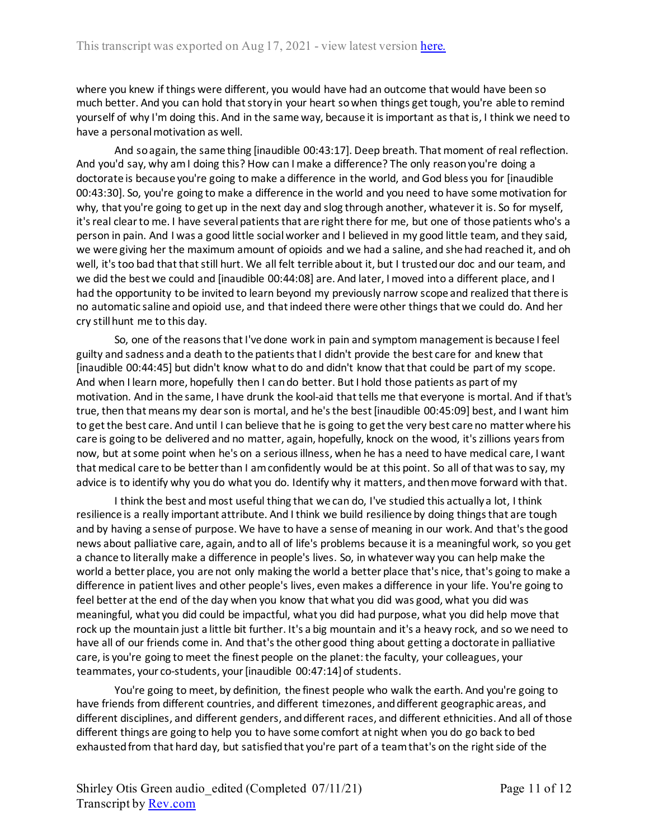where you knew if things were different, you would have had an outcome that would have been so much better. And you can hold that story in your heart so when things get tough, you're able to remind yourself of why I'm doing this. And in the same way, because it is important as that is, I think we need to have a personal motivation as well.

And so again, the same thing [inaudible 00:43:17]. Deep breath. That moment of real reflection. And you'd say, why am I doing this? How can I make a difference? The only reason you're doing a doctorate is because you're going to make a difference in the world, and God bless you for [inaudible 00:43:30]. So, you're going to make a difference in the world and you need to have some motivation for why, that you're going to get up in the next day and slog through another, whatever it is. So for myself, it's real clear to me. I have several patients that are right there for me, but one of those patients who's a person in pain. And I was a good little social worker and I believed in my good little team, and they said, we were giving her the maximum amount of opioids and we had a saline, and she had reached it, and oh well, it's too bad that that still hurt. We all felt terrible about it, but I trusted our doc and our team, and we did the best we could and [inaudible 00:44:08] are. And later, I moved into a different place, and I had the opportunity to be invited to learn beyond my previously narrow scope and realized that there is no automatic saline and opioid use, and that indeed there were other things that we could do. And her cry still hunt me to this day.

So, one of the reasons that I've done work in pain and symptom management is because I feel guilty and sadness and a death to the patients that I didn't provide the best care for and knew that [inaudible 00:44:45] but didn't know what to do and didn't know that that could be part of my scope. And when I learn more, hopefully then I can do better. But I hold those patients as part of my motivation. And in the same, I have drunk the kool-aid that tells me that everyone is mortal. And if that's true, then that means my dear son is mortal, and he's the best [inaudible 00:45:09] best, and I want him to get the best care. And until I can believe that he is going to get the very best care no matter where his care is going to be delivered and no matter, again, hopefully, knock on the wood, it's zillions years from now, but at some point when he's on a serious illness, when he has a need to have medical care, I want that medical care to be better than I am confidently would be at this point. So all of that wasto say, my advice is to identify why you do what you do. Identify why it matters, and then move forward with that.

I think the best and most useful thing that we can do, I've studied this actually a lot, I think resilience is a really important attribute. And I think we build resilience by doing things that are tough and by having a sense of purpose. We have to have a sense of meaning in our work. And that's the good news about palliative care, again, and to all of life's problems because it is a meaningful work, so you get a chance to literally make a difference in people's lives. So, in whatever way you can help make the world a better place, you are not only making the world a better place that's nice, that's going to make a difference in patient lives and other people's lives, even makes a difference in your life. You're going to feel better at the end of the day when you know that what you did was good, what you did was meaningful, what you did could be impactful, what you did had purpose, what you did help move that rock up the mountain just a little bit further. It's a big mountain and it's a heavy rock, and so we need to have all of our friends come in. And that's the other good thing about getting a doctorate in palliative care, is you're going to meet the finest people on the planet: the faculty, your colleagues, your teammates, your co-students, your [inaudible 00:47:14] of students.

You're going to meet, by definition, the finest people who walk the earth. And you're going to have friends from different countries, and different timezones, and different geographic areas, and different disciplines, and different genders, and different races, and different ethnicities. And all of those different things are going to help you to have some comfort at night when you do go back to bed exhausted from that hard day, but satisfied that you're part of a team that's on the right side of the